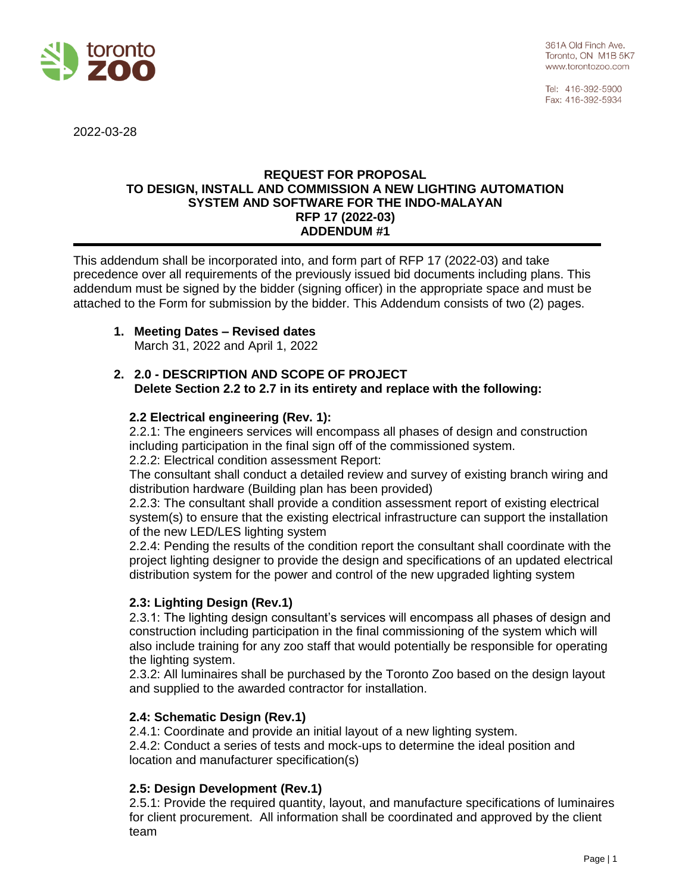

Tel: 416-392-5900 Fax: 416-392-5934

2022-03-28

#### **REQUEST FOR PROPOSAL TO DESIGN, INSTALL AND COMMISSION A NEW LIGHTING AUTOMATION SYSTEM AND SOFTWARE FOR THE INDO-MALAYAN RFP 17 (2022-03) ADDENDUM #1**

This addendum shall be incorporated into, and form part of RFP 17 (2022-03) and take precedence over all requirements of the previously issued bid documents including plans. This addendum must be signed by the bidder (signing officer) in the appropriate space and must be attached to the Form for submission by the bidder. This Addendum consists of two (2) pages.

# **1. Meeting Dates – Revised dates**

March 31, 2022 and April 1, 2022

## **2. 2.0 - DESCRIPTION AND SCOPE OF PROJECT Delete Section 2.2 to 2.7 in its entirety and replace with the following:**

#### **2.2 Electrical engineering (Rev. 1):**

2.2.1: The engineers services will encompass all phases of design and construction including participation in the final sign off of the commissioned system. 2.2.2: Electrical condition assessment Report:

The consultant shall conduct a detailed review and survey of existing branch wiring and distribution hardware (Building plan has been provided)

2.2.3: The consultant shall provide a condition assessment report of existing electrical system(s) to ensure that the existing electrical infrastructure can support the installation of the new LED/LES lighting system

2.2.4: Pending the results of the condition report the consultant shall coordinate with the project lighting designer to provide the design and specifications of an updated electrical distribution system for the power and control of the new upgraded lighting system

## **2.3: Lighting Design (Rev.1)**

2.3.1: The lighting design consultant's services will encompass all phases of design and construction including participation in the final commissioning of the system which will also include training for any zoo staff that would potentially be responsible for operating the lighting system.

2.3.2: All luminaires shall be purchased by the Toronto Zoo based on the design layout and supplied to the awarded contractor for installation.

## **2.4: Schematic Design (Rev.1)**

2.4.1: Coordinate and provide an initial layout of a new lighting system.

2.4.2: Conduct a series of tests and mock-ups to determine the ideal position and location and manufacturer specification(s)

## **2.5: Design Development (Rev.1)**

2.5.1: Provide the required quantity, layout, and manufacture specifications of luminaires for client procurement. All information shall be coordinated and approved by the client team